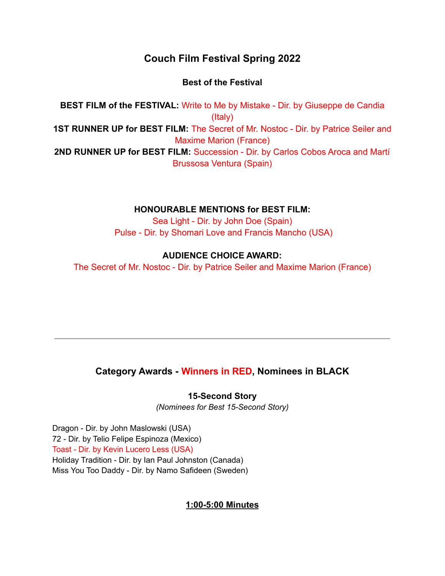# **Couch Film Festival Spring 2022**

## **Best of the Festival**

**BEST FILM of the FESTIVAL:** Write to Me by Mistake - Dir. by Giuseppe de Candia (Italy) **1ST RUNNER UP for BEST FILM:** The Secret of Mr. Nostoc - Dir. by Patrice Seiler and Maxime Marion (France) **2ND RUNNER UP for BEST FILM:** Succession - Dir. by Carlos Cobos Aroca and Martí Brussosa Ventura (Spain)

## **HONOURABLE MENTIONS for BEST FILM:**

Sea Light - Dir. by John Doe (Spain) Pulse - Dir. by Shomari Love and Francis Mancho (USA)

## **AUDIENCE CHOICE AWARD:**

The Secret of Mr. Nostoc - Dir. by Patrice Seiler and Maxime Marion (France)

# **Category Awards - Winners in RED, Nominees in BLACK**

**15-Second Story**

*(Nominees for Best 15-Second Story)*

Dragon - Dir. by John Maslowski (USA) 72 - Dir. by Telio Felipe Espinoza (Mexico) Toast - Dir. by Kevin Lucero Less (USA) Holiday Tradition - Dir. by Ian Paul Johnston (Canada) Miss You Too Daddy - Dir. by Namo Safideen (Sweden)

## **1:00-5:00 Minutes**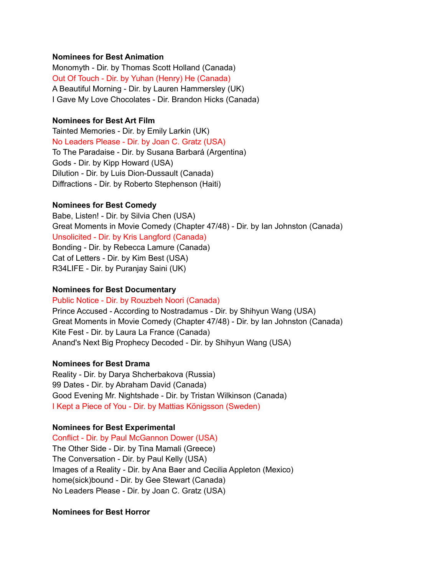#### **Nominees for Best Animation**

Monomyth - Dir. by Thomas Scott Holland (Canada) Out Of Touch - Dir. by Yuhan (Henry) He (Canada) A Beautiful Morning - Dir. by Lauren Hammersley (UK) I Gave My Love Chocolates - Dir. Brandon Hicks (Canada)

#### **Nominees for Best Art Film**

Tainted Memories - Dir. by Emily Larkin (UK) No Leaders Please - Dir. by Joan C. Gratz (USA) To The Paradaise - Dir. by Susana Barbará (Argentina) Gods - Dir. by Kipp Howard (USA) Dilution - Dir. by Luis Dion-Dussault (Canada) Diffractions - Dir. by Roberto Stephenson (Haiti)

#### **Nominees for Best Comedy**

Babe, Listen! - Dir. by Silvia Chen (USA) Great Moments in Movie Comedy (Chapter 47/48) - Dir. by Ian Johnston (Canada) Unsolicited - Dir. by Kris Langford (Canada) Bonding - Dir. by Rebecca Lamure (Canada) Cat of Letters - Dir. by Kim Best (USA) R34LIFE - Dir. by Puranjay Saini (UK)

#### **Nominees for Best Documentary**

### Public Notice - Dir. by Rouzbeh Noori (Canada)

Prince Accused - According to Nostradamus - Dir. by Shihyun Wang (USA) Great Moments in Movie Comedy (Chapter 47/48) - Dir. by Ian Johnston (Canada) Kite Fest - Dir. by Laura La France (Canada) Anand's Next Big Prophecy Decoded - Dir. by Shihyun Wang (USA)

### **Nominees for Best Drama**

Reality - Dir. by Darya Shcherbakova (Russia) 99 Dates - Dir. by Abraham David (Canada) Good Evening Mr. Nightshade - Dir. by Tristan Wilkinson (Canada) I Kept a Piece of You - Dir. by Mattias Königsson (Sweden)

### **Nominees for Best Experimental**

Conflict - Dir. by Paul McGannon Dower (USA) The Other Side - Dir. by Tina Mamali (Greece) The Conversation - Dir. by Paul Kelly (USA) Images of a Reality - Dir. by Ana Baer and Cecilia Appleton (Mexico) home(sick)bound - Dir. by Gee Stewart (Canada) No Leaders Please - Dir. by Joan C. Gratz (USA)

### **Nominees for Best Horror**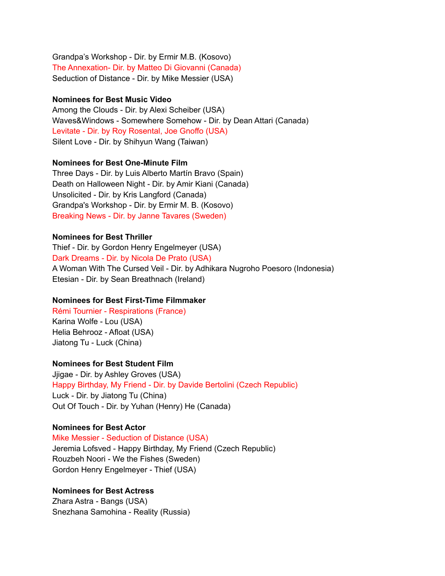Grandpa's Workshop - Dir. by Ermir M.B. (Kosovo) The Annexation- Dir. by Matteo Di Giovanni (Canada) Seduction of Distance - Dir. by Mike Messier (USA)

#### **Nominees for Best Music Video**

Among the Clouds - Dir. by Alexi Scheiber (USA) Waves&Windows - Somewhere Somehow - Dir. by Dean Attari (Canada) Levitate - Dir. by Roy Rosental, Joe Gnoffo (USA) Silent Love - Dir. by Shihyun Wang (Taiwan)

#### **Nominees for Best One-Minute Film**

Three Days - Dir. by Luis Alberto Martín Bravo (Spain) Death on Halloween Night - Dir. by Amir Kiani (Canada) Unsolicited - Dir. by Kris Langford (Canada) Grandpa's Workshop - Dir. by Ermir M. B. (Kosovo) Breaking News - Dir. by Janne Tavares (Sweden)

#### **Nominees for Best Thriller**

Thief - Dir. by Gordon Henry Engelmeyer (USA) Dark Dreams - Dir. by Nicola De Prato (USA) A Woman With The Cursed Veil - Dir. by Adhikara Nugroho Poesoro (Indonesia) Etesian - Dir. by Sean Breathnach (Ireland)

### **Nominees for Best First-Time Filmmaker**

Rémi Tournier - Respirations (France) Karina Wolfe - Lou (USA) Helia Behrooz - Afloat (USA) Jiatong Tu - Luck (China)

#### **Nominees for Best Student Film**

Jjigae - Dir. by Ashley Groves (USA) Happy Birthday, My Friend - Dir. by Davide Bertolini (Czech Republic) Luck - Dir. by Jiatong Tu (China) Out Of Touch - Dir. by Yuhan (Henry) He (Canada)

#### **Nominees for Best Actor**

Mike Messier - Seduction of Distance (USA) Jeremia Lofsved - Happy Birthday, My Friend (Czech Republic) Rouzbeh Noori - We the Fishes (Sweden) Gordon Henry Engelmeyer - Thief (USA)

### **Nominees for Best Actress**

Zhara Astra - Bangs (USA) Snezhana Samohina - Reality (Russia)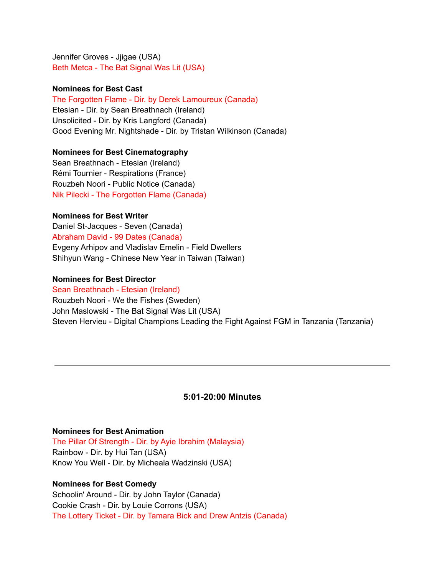Jennifer Groves - Jjigae (USA) Beth Metca - The Bat Signal Was Lit (USA)

#### **Nominees for Best Cast**

#### The Forgotten Flame - Dir. by Derek Lamoureux (Canada)

Etesian - Dir. by Sean Breathnach (Ireland) Unsolicited - Dir. by Kris Langford (Canada) Good Evening Mr. Nightshade - Dir. by Tristan Wilkinson (Canada)

#### **Nominees for Best Cinematography**

Sean Breathnach - Etesian (Ireland) Rémi Tournier - Respirations (France) Rouzbeh Noori - Public Notice (Canada) Nik Pilecki - The Forgotten Flame (Canada)

### **Nominees for Best Writer**

Daniel St-Jacques - Seven (Canada) Abraham David - 99 Dates (Canada) Evgeny Arhipov and Vladislav Emelin - Field Dwellers Shihyun Wang - Chinese New Year in Taiwan (Taiwan)

#### **Nominees for Best Director**

#### Sean Breathnach - Etesian (Ireland)

Rouzbeh Noori - We the Fishes (Sweden) John Maslowski - The Bat Signal Was Lit (USA) Steven Hervieu - Digital Champions Leading the Fight Against FGM in Tanzania (Tanzania)

### **5:01-20:00 Minutes**

#### **Nominees for Best Animation**

The Pillar Of Strength - Dir. by Ayie Ibrahim (Malaysia) Rainbow - Dir. by Hui Tan (USA) Know You Well - Dir. by Micheala Wadzinski (USA)

#### **Nominees for Best Comedy**

Schoolin' Around - Dir. by John Taylor (Canada) Cookie Crash - Dir. by Louie Corrons (USA) The Lottery Ticket - Dir. by Tamara Bick and Drew Antzis (Canada)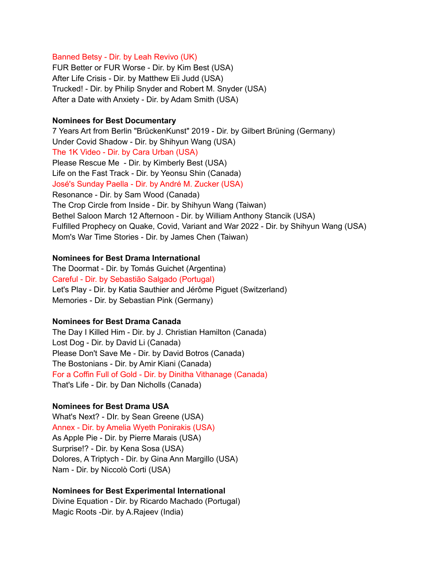#### Banned Betsy - Dir. by Leah Revivo (UK)

FUR Better or FUR Worse - Dir. by Kim Best (USA) After Life Crisis - Dir. by Matthew Eli Judd (USA) Trucked! - Dir. by Philip Snyder and Robert M. Snyder (USA) After a Date with Anxiety - Dir. by Adam Smith (USA)

#### **Nominees for Best Documentary**

7 Years Art from Berlin "BrückenKunst" 2019 - Dir. by Gilbert Brüning (Germany) Under Covid Shadow - Dir. by Shihyun Wang (USA) The 1K Video - Dir. by Cara Urban (USA) Please Rescue Me - Dir. by Kimberly Best (USA) Life on the Fast Track - Dir. by Yeonsu Shin (Canada) José's Sunday Paella - Dir. by André M. Zucker (USA) Resonance - Dir. by Sam Wood (Canada) The Crop Circle from Inside - Dir. by Shihyun Wang (Taiwan) Bethel Saloon March 12 Afternoon - Dir. by William Anthony Stancik (USA) Fulfilled Prophecy on Quake, Covid, Variant and War 2022 - Dir. by Shihyun Wang (USA) Mom's War Time Stories - Dir. by James Chen (Taiwan)

#### **Nominees for Best Drama International**

The Doormat - Dir. by Tomás Guichet (Argentina) Careful - Dir. by Sebastião Salgado (Portugal) Let's Play - Dir. by Katia Sauthier and Jérôme Piguet (Switzerland) Memories - Dir. by Sebastian Pink (Germany)

#### **Nominees for Best Drama Canada**

The Day I Killed Him - Dir. by J. Christian Hamilton (Canada) Lost Dog - Dir. by David Li (Canada) Please Don't Save Me - Dir. by David Botros (Canada) The Bostonians - Dir. by Amir Kiani (Canada) For a Coffin Full of Gold - Dir. by Dinitha Vithanage (Canada) That's Life - Dir. by Dan Nicholls (Canada)

### **Nominees for Best Drama USA**

What's Next? - DIr. by Sean Greene (USA) Annex - Dir. by Amelia Wyeth Ponirakis (USA) As Apple Pie - Dir. by Pierre Marais (USA) Surprise!? - Dir. by Kena Sosa (USA) Dolores, A Triptych - Dir. by Gina Ann Margillo (USA) Nam - Dir. by Niccolò Corti (USA)

#### **Nominees for Best Experimental International**

Divine Equation - Dir. by Ricardo Machado (Portugal) Magic Roots -Dir. by A.Rajeev (India)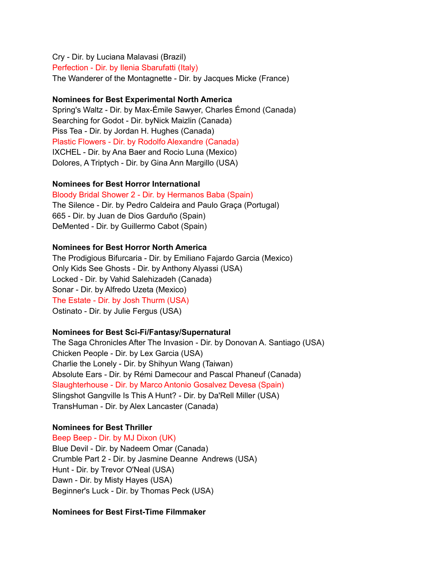Cry - Dir. by Luciana Malavasi (Brazil) Perfection - Dir. by Ilenia Sbarufatti (Italy) The Wanderer of the Montagnette - Dir. by Jacques Micke (France)

### **Nominees for Best Experimental North America**

Spring's Waltz - Dir. by Max-Émile Sawyer, Charles Émond (Canada) Searching for Godot - Dir. byNick Maizlin (Canada) Piss Tea - Dir. by Jordan H. Hughes (Canada) Plastic Flowers - Dir. by Rodolfo Alexandre (Canada) IXCHEL - Dir. by Ana Baer and Rocio Luna (Mexico) Dolores, A Triptych - Dir. by Gina Ann Margillo (USA)

#### **Nominees for Best Horror International**

Bloody Bridal Shower 2 - Dir. by Hermanos Baba (Spain) The Silence - Dir. by Pedro Caldeira and Paulo Graça (Portugal) 665 - Dir. by Juan de Dios Garduño (Spain) DeMented - Dir. by Guillermo Cabot (Spain)

#### **Nominees for Best Horror North America**

The Prodigious Bifurcaria - Dir. by Emiliano Fajardo Garcia (Mexico) Only Kids See Ghosts - Dir. by Anthony Alyassi (USA) Locked - Dir. by Vahid Salehizadeh (Canada) Sonar - Dir. by Alfredo Uzeta (Mexico) The Estate - Dir. by Josh Thurm (USA) Ostinato - Dir. by Julie Fergus (USA)

### **Nominees for Best Sci-Fi/Fantasy/Supernatural**

The Saga Chronicles After The Invasion - Dir. by Donovan A. Santiago (USA) Chicken People - Dir. by Lex Garcia (USA) Charlie the Lonely - Dir. by Shihyun Wang (Taiwan) Absolute Ears - Dir. by Rémi Damecour and Pascal Phaneuf (Canada) Slaughterhouse - Dir. by Marco Antonio Gosalvez Devesa (Spain) Slingshot Gangville Is This A Hunt? - Dir. by Da'Rell Miller (USA) TransHuman - Dir. by Alex Lancaster (Canada)

### **Nominees for Best Thriller**

Beep Beep - Dir. by MJ Dixon (UK) Blue Devil - Dir. by Nadeem Omar (Canada) Crumble Part 2 - Dir. by Jasmine Deanne Andrews (USA) Hunt - Dir. by Trevor O'Neal (USA) Dawn - Dir. by Misty Hayes (USA) Beginner's Luck - Dir. by Thomas Peck (USA)

#### **Nominees for Best First-Time Filmmaker**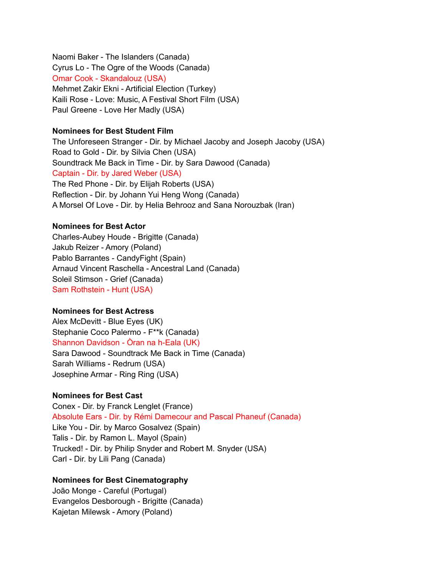Naomi Baker - The Islanders (Canada) Cyrus Lo - The Ogre of the Woods (Canada) Omar Cook - Skandalouz (USA) Mehmet Zakir Ekni - Artificial Election (Turkey) Kaili Rose - Love: Music, A Festival Short Film (USA) Paul Greene - Love Her Madly (USA)

#### **Nominees for Best Student Film**

The Unforeseen Stranger - Dir. by Michael Jacoby and Joseph Jacoby (USA) Road to Gold - Dir. by Silvia Chen (USA) Soundtrack Me Back in Time - Dir. by Sara Dawood (Canada) Captain - Dir. by Jared Weber (USA) The Red Phone - Dir. by Elijah Roberts (USA) Reflection - Dir. by Johann Yui Heng Wong (Canada) A Morsel Of Love - Dir. by Helia Behrooz and Sana Norouzbak (Iran)

### **Nominees for Best Actor**

Charles-Aubey Houde - Brigitte (Canada) Jakub Reizer - Amory (Poland) Pablo Barrantes - CandyFight (Spain) Arnaud Vincent Raschella - Ancestral Land (Canada) Soleil Stimson - Grief (Canada) Sam Rothstein - Hunt (USA)

### **Nominees for Best Actress**

Alex McDevitt - Blue Eyes (UK) Stephanie Coco Palermo - F\*\*k (Canada) Shannon Davidson - Òran na h-Eala (UK) Sara Dawood - Soundtrack Me Back in Time (Canada) Sarah Williams - Redrum (USA) Josephine Armar - Ring Ring (USA)

### **Nominees for Best Cast**

Conex - Dir. by Franck Lenglet (France) Absolute Ears - Dir. by Rémi Damecour and Pascal Phaneuf (Canada) Like You - Dir. by Marco Gosalvez (Spain) Talis - Dir. by Ramon L. Mayol (Spain) Trucked! - Dir. by Philip Snyder and Robert M. Snyder (USA) Carl - Dir. by Lili Pang (Canada)

### **Nominees for Best Cinematography**

João Monge - Careful (Portugal) Evangelos Desborough - Brigitte (Canada) Kajetan Milewsk - Amory (Poland)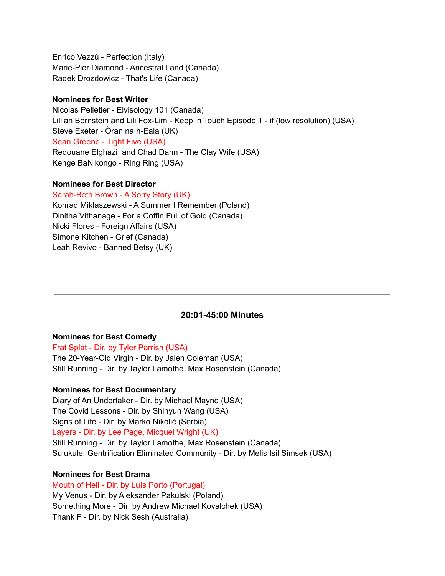Enrico Vezzù - Perfection (Italy) Marie-Pier Diamond - Ancestral Land (Canada) Radek Drozdowicz - That's Life (Canada)

### **Nominees for Best Writer**

Nicolas Pelletier - Elvisology 101 (Canada) Lillian Bornstein and Lili Fox-Lim - Keep in Touch Episode 1 - if (low resolution) (USA) Steve Exeter - Òran na h-Eala (UK) Sean Greene - Tight Five (USA) Redouane Elghazi and Chad Dann - The Clay Wife (USA) Kenge BaNikongo - Ring Ring (USA)

### **Nominees for Best Director**

Sarah-Beth Brown - A Sorry Story (UK)

Konrad Miklaszewski - A Summer I Remember (Poland) Dinitha Vithanage - For a Coffin Full of Gold (Canada) Nicki Flores - Foreign Affairs (USA) Simone Kitchen - Grief (Canada) Leah Revivo - Banned Betsy (UK)

## **20:01-45:00 Minutes**

### **Nominees for Best Comedy**

Frat Splat - Dir. by Tyler Parrish (USA) The 20-Year-Old Virgin - Dir. by Jalen Coleman (USA) Still Running - Dir. by Taylor Lamothe, Max Rosenstein (Canada)

### **Nominees for Best Documentary**

Diary of An Undertaker - Dir. by Michael Mayne (USA) The Covid Lessons - Dir. by Shihyun Wang (USA) Signs of Life - Dir. by Marko Nikolić (Serbia) Layers - Dir. by Lee Page, Micquel Wright (UK) Still Running - Dir. by Taylor Lamothe, Max Rosenstein (Canada) Sulukule: Gentrification Eliminated Community - Dir. by Melis Isil Simsek (USA)

### **Nominees for Best Drama**

Mouth of Hell - Dir. by Luís Porto (Portugal) My Venus - Dir. by Aleksander Pakulski (Poland) Something More - Dir. by Andrew Michael Kovalchek (USA) Thank F - Dir. by Nick Sesh (Australia)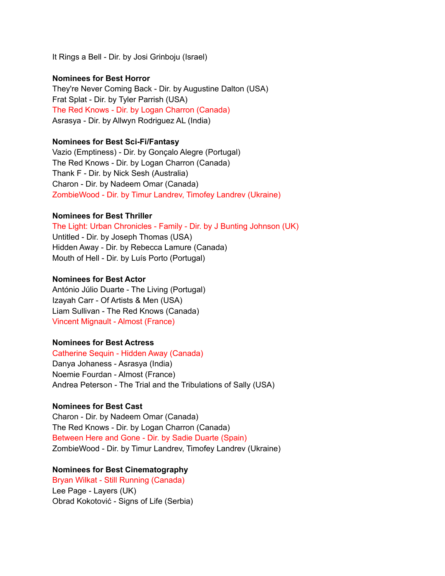It Rings a Bell - Dir. by Josi Grinboju (Israel)

#### **Nominees for Best Horror**

They're Never Coming Back - Dir. by Augustine Dalton (USA) Frat Splat - Dir. by Tyler Parrish (USA) The Red Knows - Dir. by Logan Charron (Canada) Asrasya - Dir. by Allwyn Rodriguez AL (India)

#### **Nominees for Best Sci-Fi/Fantasy**

Vazio (Emptiness) - Dir. by Gonçalo Alegre (Portugal) The Red Knows - Dir. by Logan Charron (Canada) Thank F - Dir. by Nick Sesh (Australia) Charon - Dir. by Nadeem Omar (Canada) ZombieWood - Dir. by Timur Landrev, Timofey Landrev (Ukraine)

#### **Nominees for Best Thriller**

The Light: Urban Chronicles - Family - Dir. by J Bunting Johnson (UK) Untitled - Dir. by Joseph Thomas (USA) Hidden Away - Dir. by Rebecca Lamure (Canada) Mouth of Hell - Dir. by Luís Porto (Portugal)

#### **Nominees for Best Actor**

António Júlio Duarte - The Living (Portugal) Izayah Carr - Of Artists & Men (USA) Liam Sullivan - The Red Knows (Canada) Vincent Mignault - Almost (France)

#### **Nominees for Best Actress**

Catherine Sequin - Hidden Away (Canada) Danya Johaness - Asrasya (India) Noemie Fourdan - Almost (France) Andrea Peterson - The Trial and the Tribulations of Sally (USA)

### **Nominees for Best Cast**

Charon - Dir. by Nadeem Omar (Canada) The Red Knows - Dir. by Logan Charron (Canada) Between Here and Gone - Dir. by Sadie Duarte (Spain) ZombieWood - Dir. by Timur Landrev, Timofey Landrev (Ukraine)

### **Nominees for Best Cinematography**

Bryan Wilkat - Still Running (Canada) Lee Page - Layers (UK) Obrad Kokotović - Signs of Life (Serbia)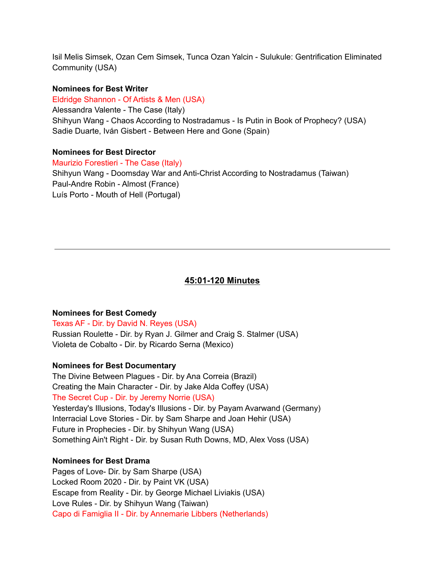Isil Melis Simsek, Ozan Cem Simsek, Tunca Ozan Yalcin - Sulukule: Gentrification Eliminated Community (USA)

#### **Nominees for Best Writer**

Eldridge Shannon - Of Artists & Men (USA)

Alessandra Valente - The Case (Italy) Shihyun Wang - Chaos According to Nostradamus - Is Putin in Book of Prophecy? (USA) Sadie Duarte, Iván Gisbert - Between Here and Gone (Spain)

### **Nominees for Best Director**

Maurizio Forestieri - The Case (Italy) Shihyun Wang - Doomsday War and Anti-Christ According to Nostradamus (Taiwan) Paul-Andre Robin - Almost (France) Luís Porto - Mouth of Hell (Portugal)

### **45:01-120 Minutes**

#### **Nominees for Best Comedy**

### Texas AF - Dir. by David N. Reyes (USA)

Russian Roulette - Dir. by Ryan J. Gilmer and Craig S. Stalmer (USA) Violeta de Cobalto - Dir. by Ricardo Serna (Mexico)

#### **Nominees for Best Documentary**

The Divine Between Plagues - Dir. by Ana Correia (Brazil) Creating the Main Character - Dir. by Jake Alda Coffey (USA) The Secret Cup - Dir. by Jeremy Norrie (USA) Yesterday's Illusions, Today's Illusions - Dir. by Payam Avarwand (Germany) Interracial Love Stories - Dir. by Sam Sharpe and Joan Hehir (USA) Future in Prophecies - Dir. by Shihyun Wang (USA) Something Ain't Right - Dir. by Susan Ruth Downs, MD, Alex Voss (USA)

#### **Nominees for Best Drama**

Pages of Love- Dir. by Sam Sharpe (USA) Locked Room 2020 - Dir. by Paint VK (USA) Escape from Reality - Dir. by George Michael Liviakis (USA) Love Rules - Dir. by Shihyun Wang (Taiwan) Capo di Famiglia II - Dir. by Annemarie Libbers (Netherlands)